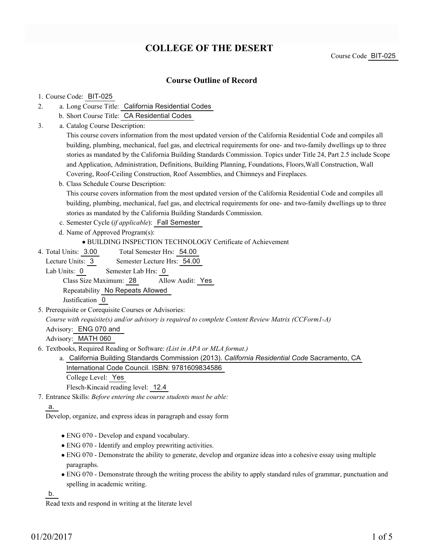# **COLLEGE OF THE DESERT**

Course Code BIT-025

### **Course Outline of Record**

### 1. Course Code: BIT-025

- a. Long Course Title: California Residential Codes 2.
	- b. Short Course Title: CA Residential Codes
- Catalog Course Description: a. 3.

This course covers information from the most updated version of the California Residential Code and compiles all building, plumbing, mechanical, fuel gas, and electrical requirements for one- and two-family dwellings up to three stories as mandated by the California Building Standards Commission. Topics under Title 24, Part 2.5 include Scope and Application, Administration, Definitions, Building Planning, Foundations, Floors,Wall Construction, Wall Covering, Roof-Ceiling Construction, Roof Assemblies, and Chimneys and Fireplaces.

b. Class Schedule Course Description:

This course covers information from the most updated version of the California Residential Code and compiles all building, plumbing, mechanical, fuel gas, and electrical requirements for one- and two-family dwellings up to three stories as mandated by the California Building Standards Commission.

- c. Semester Cycle (*if applicable*): Fall Semester
- d. Name of Approved Program(s):

BUILDING INSPECTION TECHNOLOGY Certificate of Achievement

Total Semester Hrs: 54.00 4. Total Units: 3.00

Lecture Units: 3 Semester Lecture Hrs: 54.00

Lab Units: 0 Semester Lab Hrs: 0

Class Size Maximum: 28 Allow Audit: Yes

Repeatability No Repeats Allowed

Justification 0

5. Prerequisite or Corequisite Courses or Advisories:

*Course with requisite(s) and/or advisory is required to complete Content Review Matrix (CCForm1-A)*

Advisory: ENG 070 and

Advisory: MATH 060

- Textbooks, Required Reading or Software: *(List in APA or MLA format.)* 6.
	- a. California Building Standards Commission (2013). *California Residential Code* Sacramento, CA International Code Council. ISBN: 9781609834586 College Level: Yes

Flesch-Kincaid reading level: 12.4

Entrance Skills: *Before entering the course students must be able:* 7.

a.

Develop, organize, and express ideas in paragraph and essay form

- ENG 070 Develop and expand vocabulary.
- ENG 070 Identify and employ prewriting activities.
- ENG 070 Demonstrate the ability to generate, develop and organize ideas into a cohesive essay using multiple paragraphs.
- ENG 070 Demonstrate through the writing process the ability to apply standard rules of grammar, punctuation and spelling in academic writing.

b.

Read texts and respond in writing at the literate level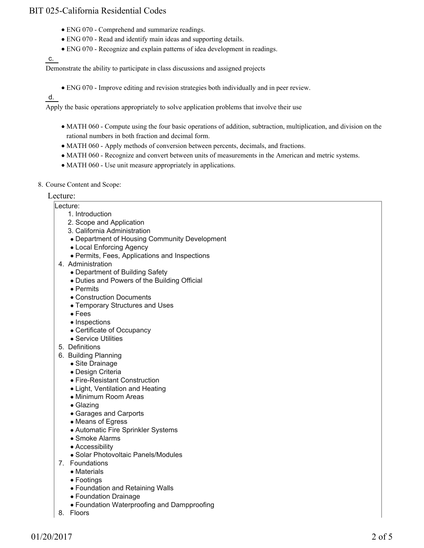- ENG 070 Comprehend and summarize readings.
- ENG 070 Read and identify main ideas and supporting details.
- ENG 070 Recognize and explain patterns of idea development in readings.

c.

Demonstrate the ability to participate in class discussions and assigned projects

ENG 070 - Improve editing and revision strategies both individually and in peer review.

d.

Apply the basic operations appropriately to solve application problems that involve their use

- MATH 060 Compute using the four basic operations of addition, subtraction, multiplication, and division on the rational numbers in both fraction and decimal form.
- MATH 060 Apply methods of conversion between percents, decimals, and fractions.
- MATH 060 Recognize and convert between units of measurements in the American and metric systems.
- MATH 060 Use unit measure appropriately in applications.
- 8. Course Content and Scope:

#### Lecture:

- Lecture:
	- 1. Introduction
	- 2. Scope and Application
	- 3. California Administration
	- Department of Housing Community Development
	- Local Enforcing Agency
	- Permits, Fees, Applications and Inspections
- 4. Administration
	- Department of Building Safety
	- Duties and Powers of the Building Official
	- Permits
	- Construction Documents
	- Temporary Structures and Uses
	- Fees
	- Inspections
	- Certificate of Occupancy
	- Service Utilities
- 5. Definitions
- 6. Building Planning
	- Site Drainage
	- Design Criteria
	- Fire-Resistant Construction
	- Light, Ventilation and Heating
	- Minimum Room Areas
	- Glazing
	- Garages and Carports
	- Means of Egress
	- Automatic Fire Sprinkler Systems
	- Smoke Alarms
	- Accessibility
	- Solar Photovoltaic Panels/Modules
- 7. Foundations
	- Materials
	- Footings
	- Foundation and Retaining Walls
	- Foundation Drainage
	- Foundation Waterproofing and Dampproofing
- 8. Floors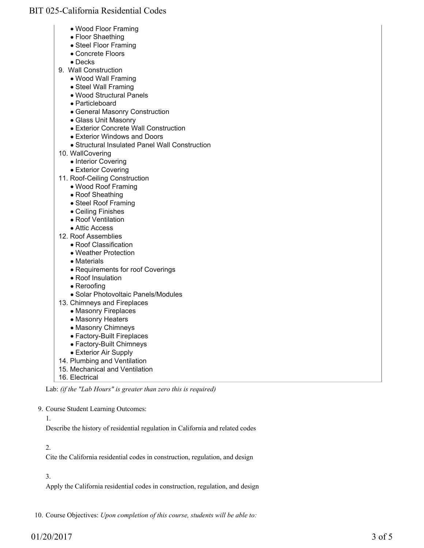- Wood Floor Framing
- Floor Shaething
- Steel Floor Framing
- Concrete Floors
- Decks
- 9. Wall Construction
	- Wood Wall Framing
	- Steel Wall Framing
	- Wood Structural Panels
	- Particleboard
	- General Masonry Construction
	- Glass Unit Masonry
	- Exterior Concrete Wall Construction
	- Exterior Windows and Doors
	- Structural Insulated Panel Wall Construction
- 10. WallCovering
	- Interior Covering
	- Exterior Covering
- 11. Roof-Ceiling Construction
	- Wood Roof Framing
	- Roof Sheathing
	- Steel Roof Framing
	- Ceiling Finishes
	- Roof Ventilation
	- Attic Access
- 12. Roof Assemblies
	- Roof Classification
	- Weather Protection
	- Materials
	- Requirements for roof Coverings
	- Roof Insulation
	- Reroofing
	- Solar Photovoltaic Panels/Modules
- 13. Chimneys and Fireplaces
	- Masonry Fireplaces
	- Masonry Heaters
	- Masonry Chimneys
	- Factory-Built Fireplaces
	- Factory-Built Chimneys
	- Exterior Air Supply
- 14. Plumbing and Ventilation
- 15. Mechanical and Ventilation

Lab: *(if the "Lab Hours" is greater than zero this is required)*

9. Course Student Learning Outcomes:

1.

Describe the history of residential regulation in California and related codes

### 2.

Cite the California residential codes in construction, regulation, and design

### 3.

Apply the California residential codes in construction, regulation, and design

10. Course Objectives: *Upon completion of this course, students will be able to:*

 <sup>16.</sup> Electrical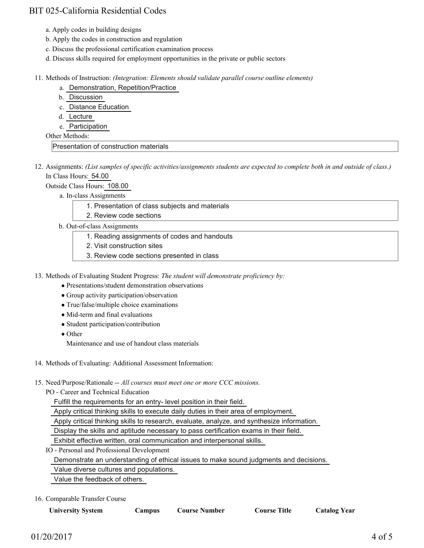- a. Apply codes in building designs
- b. Apply the codes in construction and regulation
- c. Discuss the professional certification examination process
- d. Discuss skills required for employment opportunities in the private or public sectors

#### Methods of Instruction: *(Integration: Elements should validate parallel course outline elements)* 11.

- a. Demonstration, Repetition/Practice
- b. Discussion
- c. Distance Education
- d. Lecture
- e. Participation

Other Methods:

Presentation of construction materials

12. Assignments: (List samples of specific activities/assignments students are expected to complete both in and outside of class.) In Class Hours: 54.00

Outside Class Hours: 108.00

a. In-class Assignments

- 1. Presentation of class subjects and materials
- 2. Review code sections
- b. Out-of-class Assignments
	- 1. Reading assignments of codes and handouts
	- 2. Visit construction sites
	- 3. Review code sections presented in class
- 13. Methods of Evaluating Student Progress: The student will demonstrate proficiency by:
	- Presentations/student demonstration observations
	- Group activity participation/observation
	- True/false/multiple choice examinations
	- Mid-term and final evaluations
	- Student participation/contribution
	- Other

Maintenance and use of handout class materials

- 14. Methods of Evaluating: Additional Assessment Information:
- 15. Need/Purpose/Rationale -- All courses must meet one or more CCC missions.

PO - Career and Technical Education

Fulfill the requirements for an entry- level position in their field.

Apply critical thinking skills to execute daily duties in their area of employment.

Apply critical thinking skills to research, evaluate, analyze, and synthesize information.

Display the skills and aptitude necessary to pass certification exams in their field.

Exhibit effective written, oral communication and interpersonal skills.

IO - Personal and Professional Development

Demonstrate an understanding of ethical issues to make sound judgments and decisions.

Value diverse cultures and populations.

Value the feedback of others.

16. Comparable Transfer Course

| <b>University System</b> |  |
|--------------------------|--|
|--------------------------|--|

**Campus Course Number Course Title Catalog Year**